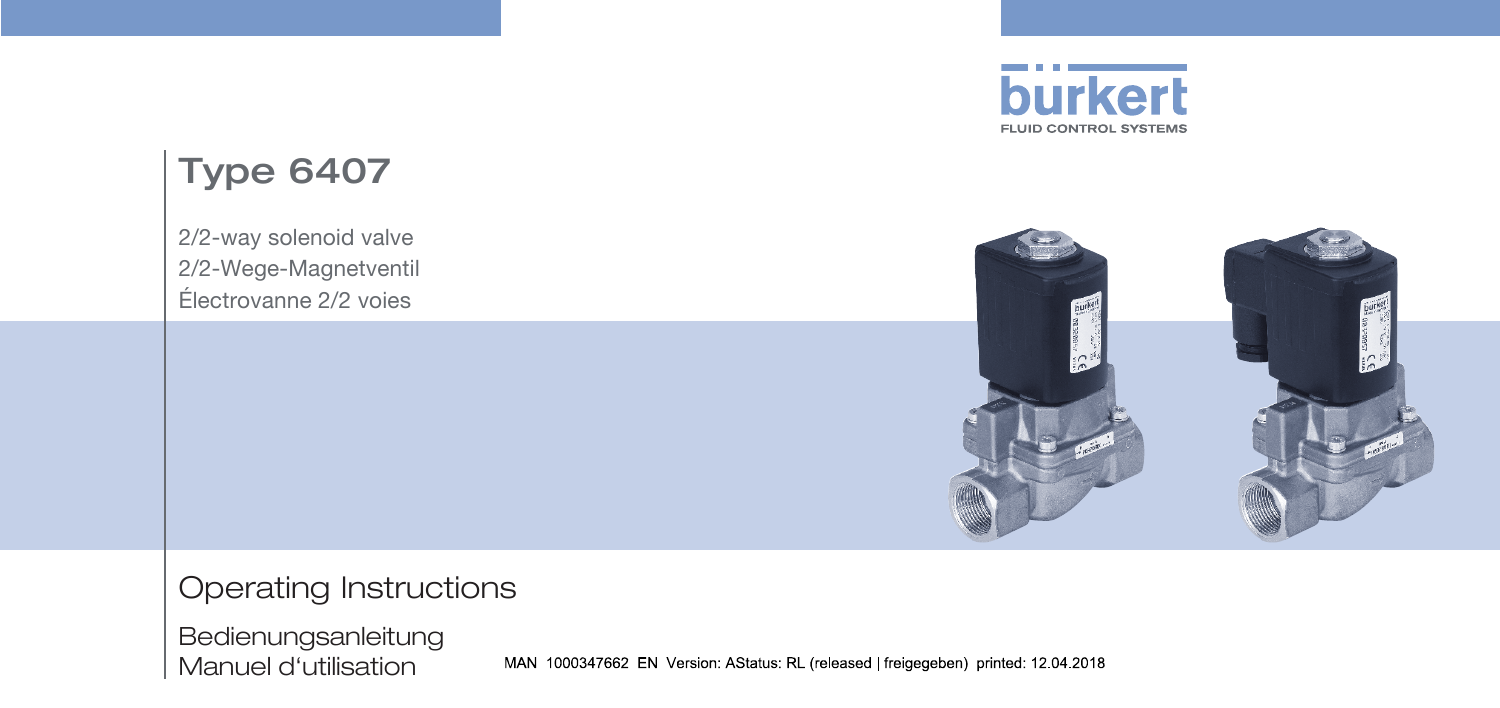

# Type 6407

2/2-way solenoid valve 2/2-Wege-Magnetventil Électrovanne 2/2 voies



Operating Instructions

Bedienungsanleitung Manuel d'utilisation

MAN 1000347662 EN Version: AStatus: RL (released | freigegeben) printed: 12.04.2018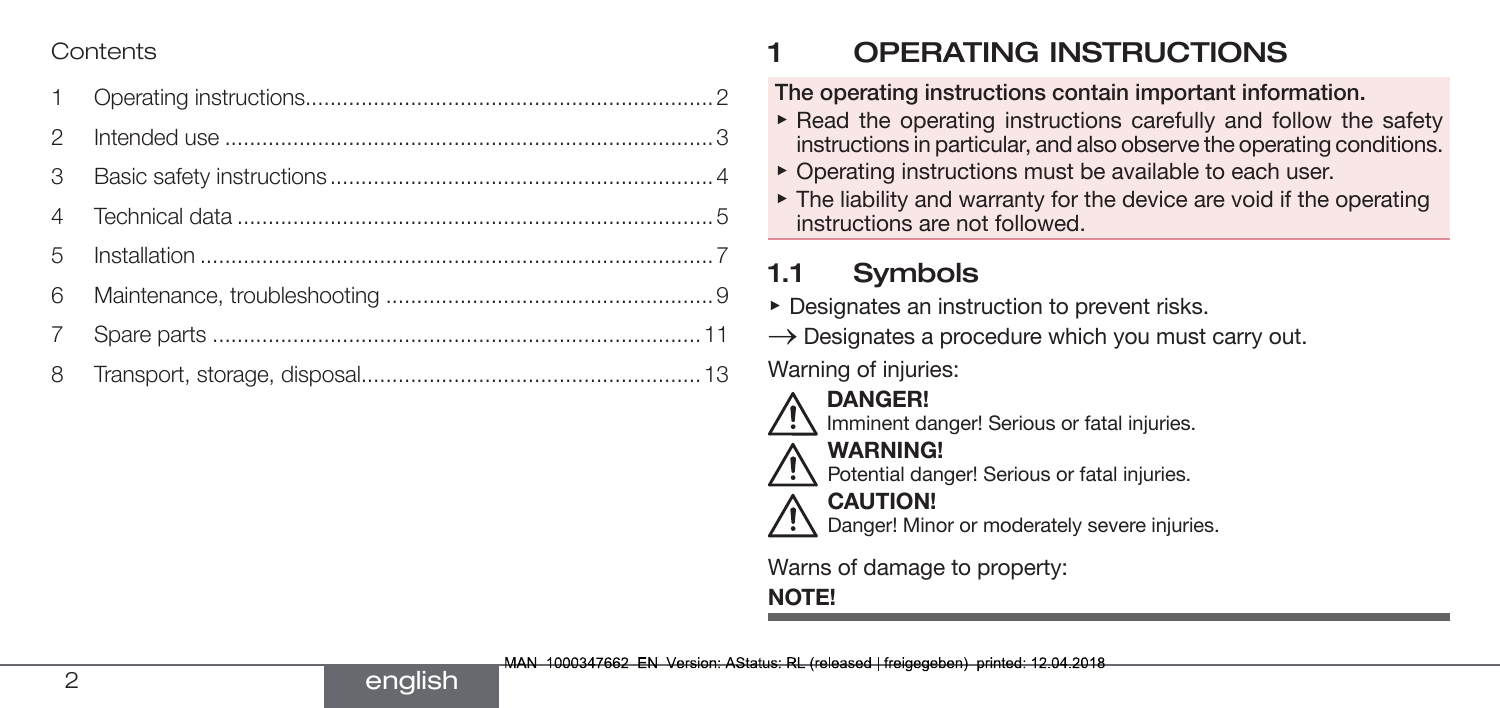#### Contents

| $\mathcal{P}$  |  |
|----------------|--|
| 3              |  |
|                |  |
| 5              |  |
| 6              |  |
| $\overline{7}$ |  |
|                |  |

english

## 1 OPERATING INSTRUCTIONS

#### The operating instructions contain important information.

- $\triangleright$  Read the operating instructions carefully and follow the safety instructions in particular, and also observe the operating conditions.
- ▶ Operating instructions must be available to each user.
- $\triangleright$  The liability and warranty for the device are void if the operating instructions are not followed.

## 1.1 Symbols

- ▶ Designates an instruction to prevent risks.
- $\rightarrow$  Designates a procedure which you must carry out.

Warning of injuries:

- 
- DANGER!



- WARNING!
- Potential danger! Serious or fatal injuries.

#### CAUTION!

Danger! Minor or moderately severe injuries.

Warns of damage to property:

### NOTE!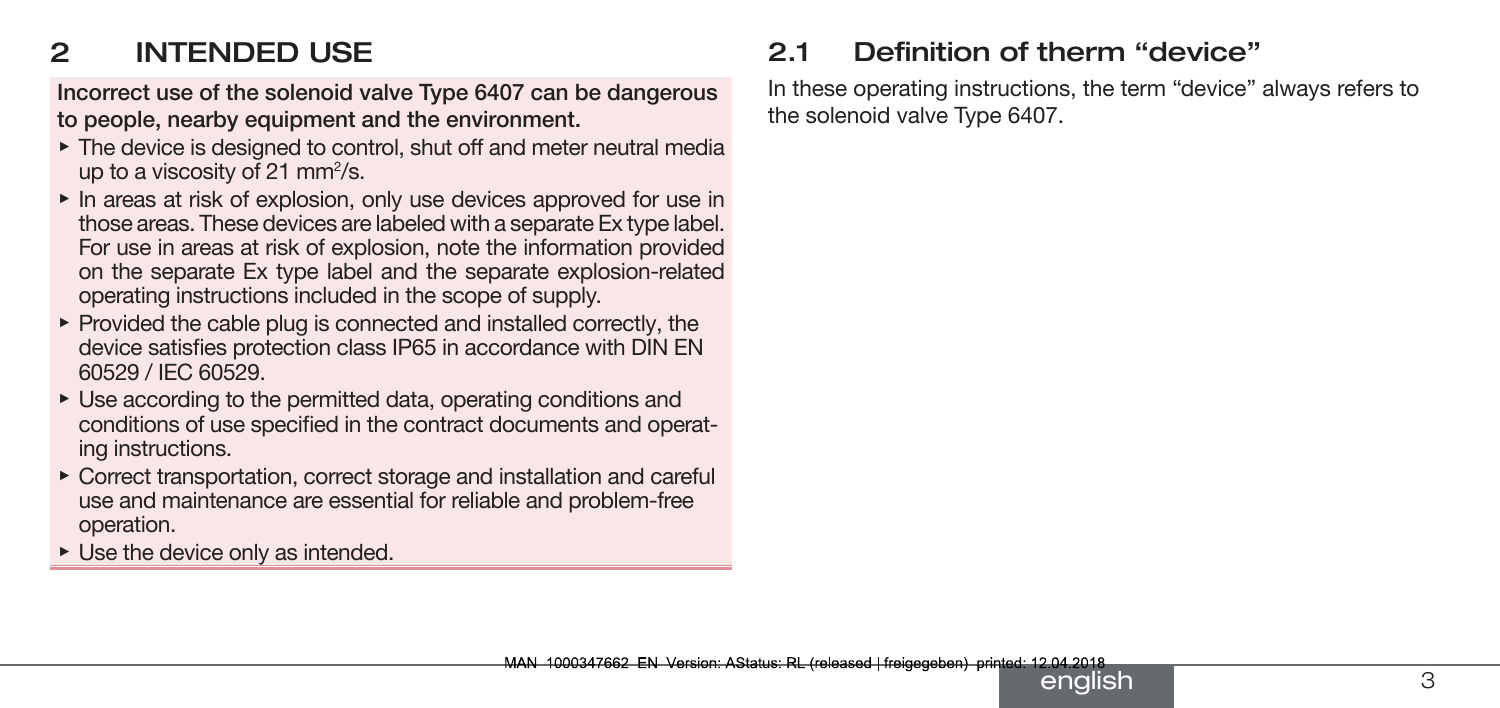## <span id="page-2-0"></span>2 INTENDED USE

Incorrect use of the solenoid valve Type 6407 can be dangerous to people, nearby equipment and the environment.

- ▶ The device is designed to control, shut off and meter neutral media up to a viscosity of 21 mm $^2$ /s.
- ▶ In areas at risk of explosion, only use devices approved for use in those areas. These devices are labeled with a separate Ex type label. For use in areas at risk of explosion, note the information provided on the separate Ex type label and the separate explosion-related operating instructions included in the scope of supply.
- $\triangleright$  Provided the cable plug is connected and installed correctly, the device satisfies protection class IP65 in accordance with DIN EN 60529 / IEC 60529.
- ▶ Use according to the permitted data, operating conditions and conditions of use specified in the contract documents and operating instructions.
- ▶ Correct transportation, correct storage and installation and careful use and maintenance are essential for reliable and problem-free operation.
- $\triangleright$  Use the device only as intended.

### 2.1 Definition of therm "device"

In these operating instructions, the term "device" always refers to the solenoid valve Type 6407.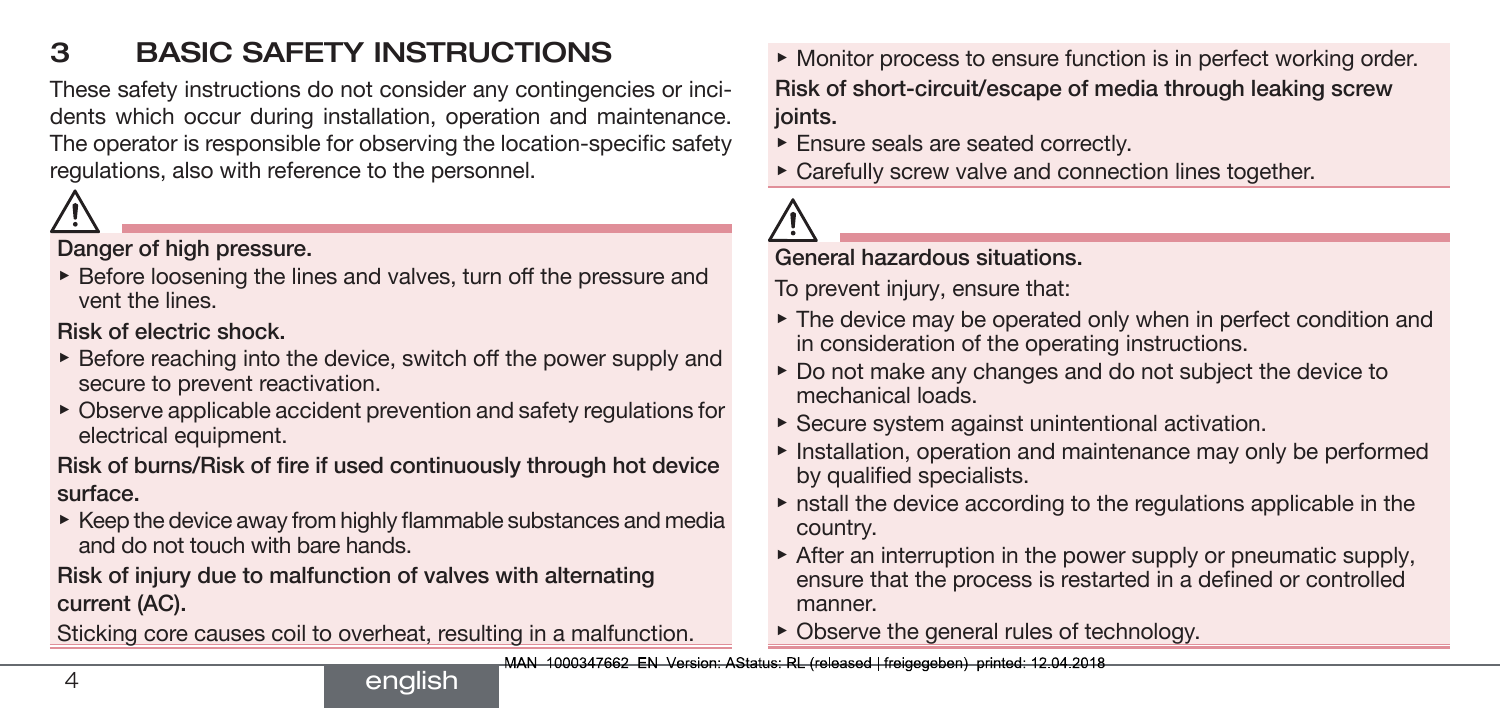## <span id="page-3-0"></span>3 BASIC SAFETY INSTRUCTIONS

These safety instructions do not consider any contingencies or incidents which occur during installation, operation and maintenance. The operator is responsible for observing the location-specific safety regulations, also with reference to the personnel.



Danger of high pressure.

▶ Before loosening the lines and valves, turn off the pressure and vent the lines.

Risk of electric shock.

- $\triangleright$  Before reaching into the device, switch off the power supply and secure to prevent reactivation.
- $\triangleright$  Observe applicable accident prevention and safety regulations for electrical equipment.

Risk of burns/Risk of fire if used continuously through hot device surface.

 $\triangleright$  Keep the device away from highly flammable substances and media and do not touch with bare hands.

Risk of injury due to malfunction of valves with alternating current (AC).

Sticking core causes coil to overheat, resulting in a malfunction.

▶ Monitor process to ensure function is in perfect working order. Risk of short-circuit/escape of media through leaking screw joints.

- ▶ Ensure seals are seated correctly.
- ▶ Carefully screw valve and connection lines together.



#### General hazardous situations.

To prevent injury, ensure that:

- ▶ The device may be operated only when in perfect condition and in consideration of the operating instructions.
- ▶ Do not make any changes and do not subject the device to mechanical loads.
- $\triangleright$  Secure system against unintentional activation.
- ▶ Installation, operation and maintenance may only be performed by qualified specialists.
- $\triangleright$  nstall the device according to the regulations applicable in the country.
- ▶ After an interruption in the power supply or pneumatic supply, ensure that the process is restarted in a defined or controlled manner.
- $\triangleright$  Observe the general rules of technology.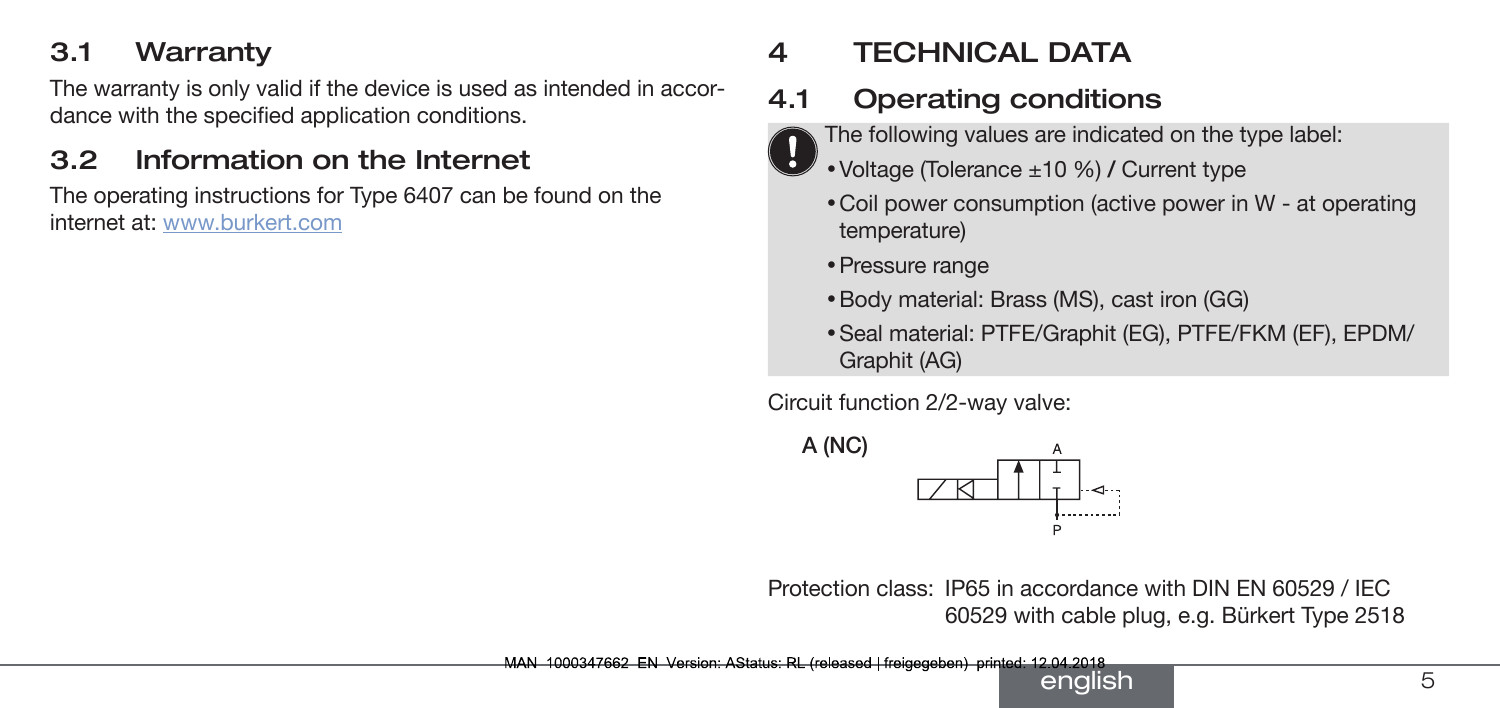#### <span id="page-4-0"></span>3.1 Warranty

The warranty is only valid if the device is used as intended in accordance with the specified application conditions.

### 3.2 Information on the Internet

The operating instructions for Type 6407 can be found on the internet at: www.burkert.com

## 4 TECHNICAL DATA

## 4.1 Operating conditions

- The following values are indicated on the type label:
- Voltage (Tolerance ±10 %) / Current type
	- Coil power consumption (active power in W at operating temperature)
	- Pressure range
	- Body material: Brass (MS), cast iron (GG)
	- Seal material: PTFE/Graphit (EG), PTFE/FKM (EF), EPDM/ Graphit (AG)

Circuit function 2/2-way valve:



Protection class: IP65 in accordance with DIN EN 60529 / IEC 60529 with cable plug, e.g. Bürkert Type 2518

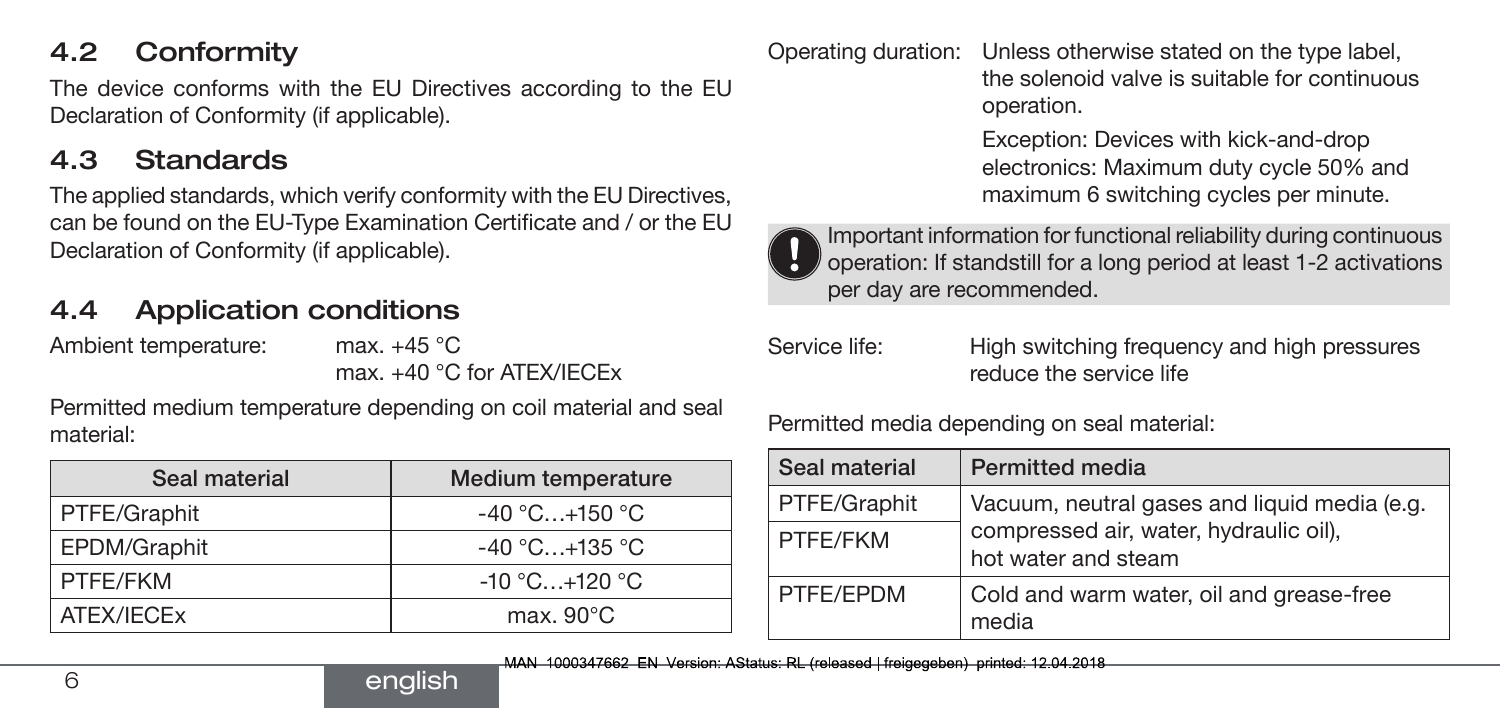#### 4.2 Conformity

The device conforms with the EU Directives according to the EU Declaration of Conformity (if applicable).

#### 4.3 Standards

The applied standards, which verify conformity with the EU Directives, can be found on the EU-Type Examination Certificate and / or the EU Declaration of Conformity (if applicable).

### 4.4 Application conditions

Ambient temperature: max. +45 °C

max. +40 °C for ATEX/IECEx

Permitted medium temperature depending on coil material and seal material:

| Seal material | Medium temperature  |
|---------------|---------------------|
| PTFE/Graphit  | $-40$ °C $+150$ °C  |
| EPDM/Graphit  | $-40$ °C +135 °C.   |
| PTFE/FKM      | $-10 °C+120 °C$     |
| ATEX/IECEx    | max. $90^{\circ}$ C |

english

Operating duration: Unless otherwise stated on the type label, the solenoid valve is suitable for continuous operation.

> Exception: Devices with kick-and-drop electronics: Maximum duty cycle 50% and maximum 6 switching cycles per minute.



Important information for functional reliability during continuous operation: If standstill for a long period at least 1-2 activations per day are recommended.

| Service life: |  |
|---------------|--|
|               |  |

High switching frequency and high pressures reduce the service life

Permitted media depending on seal material:

| Seal material | <b>Permitted media</b>                                        |
|---------------|---------------------------------------------------------------|
| PTFE/Graphit  | Vacuum, neutral gases and liquid media (e.g.                  |
| PTFF/FKM      | compressed air, water, hydraulic oil),<br>hot water and steam |
| PTFF/FPDM     | Cold and warm water, oil and grease-free<br>media             |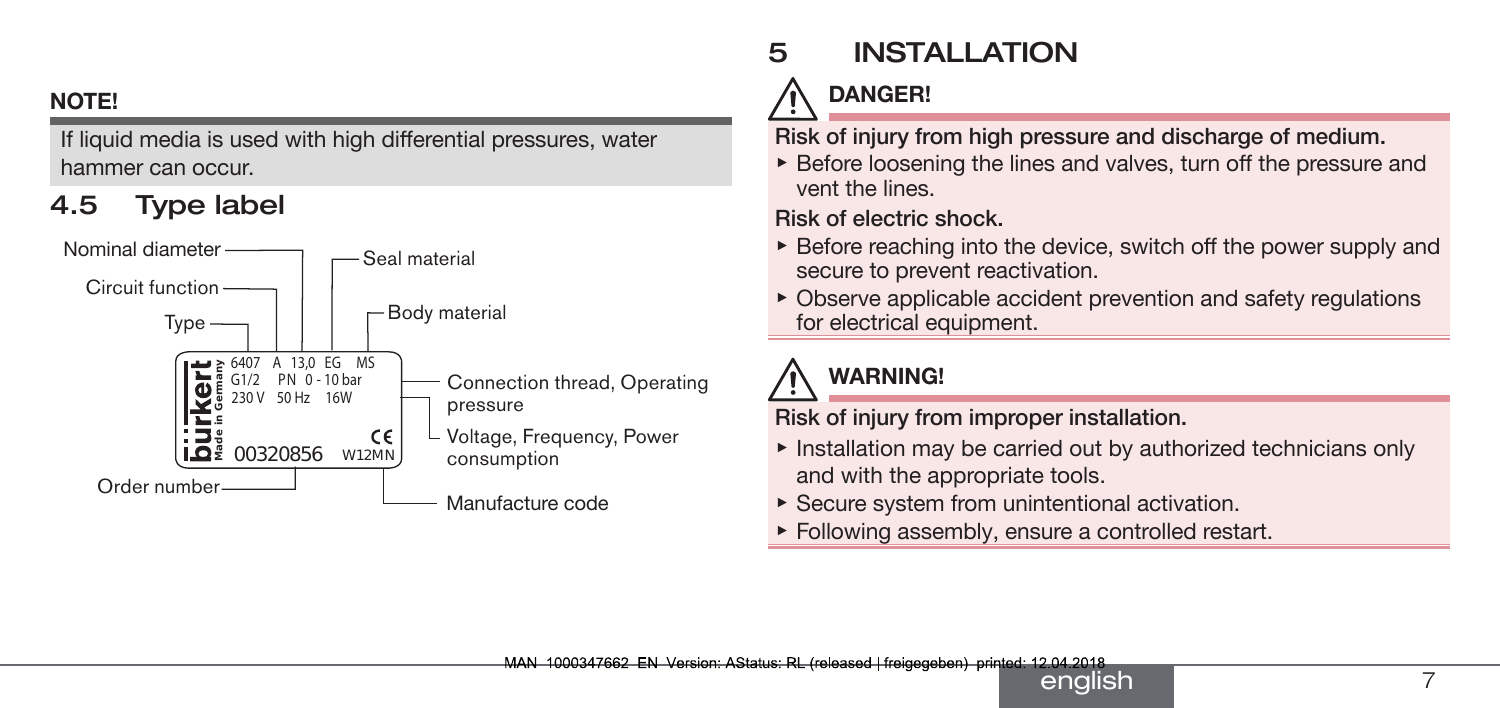#### <span id="page-6-0"></span>NOTE!

If liquid media is used with high differential pressures, water hammer can occur.

## 4.5 Type label



# 5 INSTALLATION

# DANGER!

Risk of injury from high pressure and discharge of medium.

▶ Before loosening the lines and valves, turn off the pressure and vent the lines.

Risk of electric shock.

- $\triangleright$  Before reaching into the device, switch off the power supply and secure to prevent reactivation.
- $\triangleright$  Observe applicable accident prevention and safety regulations for electrical equipment.

# WARNING!

Risk of injury from improper installation.

- ▶ Installation may be carried out by authorized technicians only and with the appropriate tools.
- $\triangleright$  Secure system from unintentional activation.
- ▶ Following assembly, ensure a controlled restart.

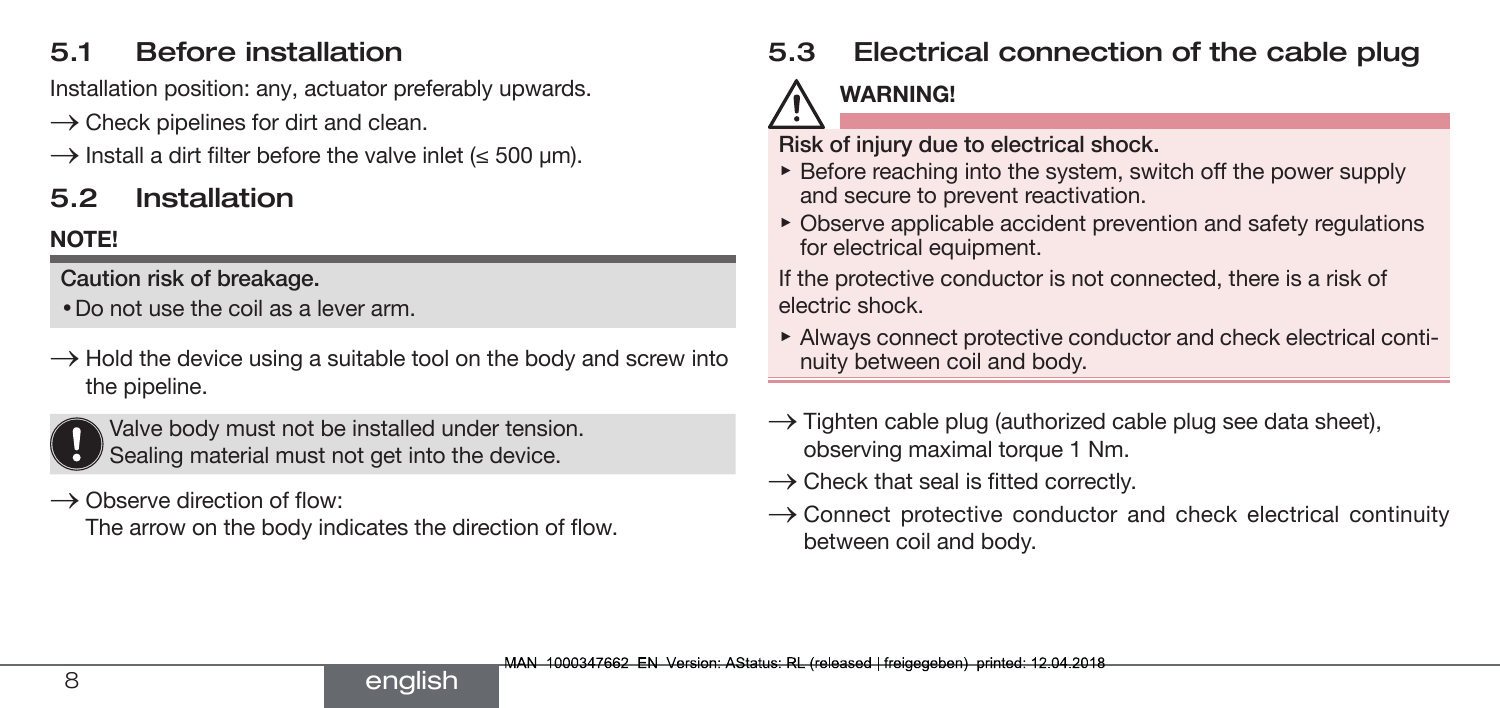### 5.1 Before installation

Installation position: any, actuator preferably upwards.

- $\rightarrow$  Check pipelines for dirt and clean.
- $\rightarrow$  Install a dirt filter before the valve inlet ( $\leq$  500 um).

## 5.2 Installation

### NOTE!

Caution risk of breakage.

- Do not use the coil as a lever arm.
- $\rightarrow$  Hold the device using a suitable tool on the body and screw into the pipeline.



Valve body must not be installed under tension. Sealing material must not get into the device.

 $\rightarrow$  Observe direction of flow:

The arrow on the body indicates the direction of flow.

## 5.3 Electrical connection of the cable plug

## WARNING!

Risk of injury due to electrical shock.

- ▶ Before reaching into the system, switch off the power supply and secure to prevent reactivation.
- $\triangleright$  Observe applicable accident prevention and safety regulations for electrical equipment.

If the protective conductor is not connected, there is a risk of electric shock.

- ▶ Always connect protective conductor and check electrical continuity between coil and body.
- $\rightarrow$  Tighten cable plug (authorized cable plug see data sheet), observing maximal torque 1 Nm.
- $\rightarrow$  Check that seal is fitted correctly.
- $\rightarrow$  Connect protective conductor and check electrical continuity between coil and body.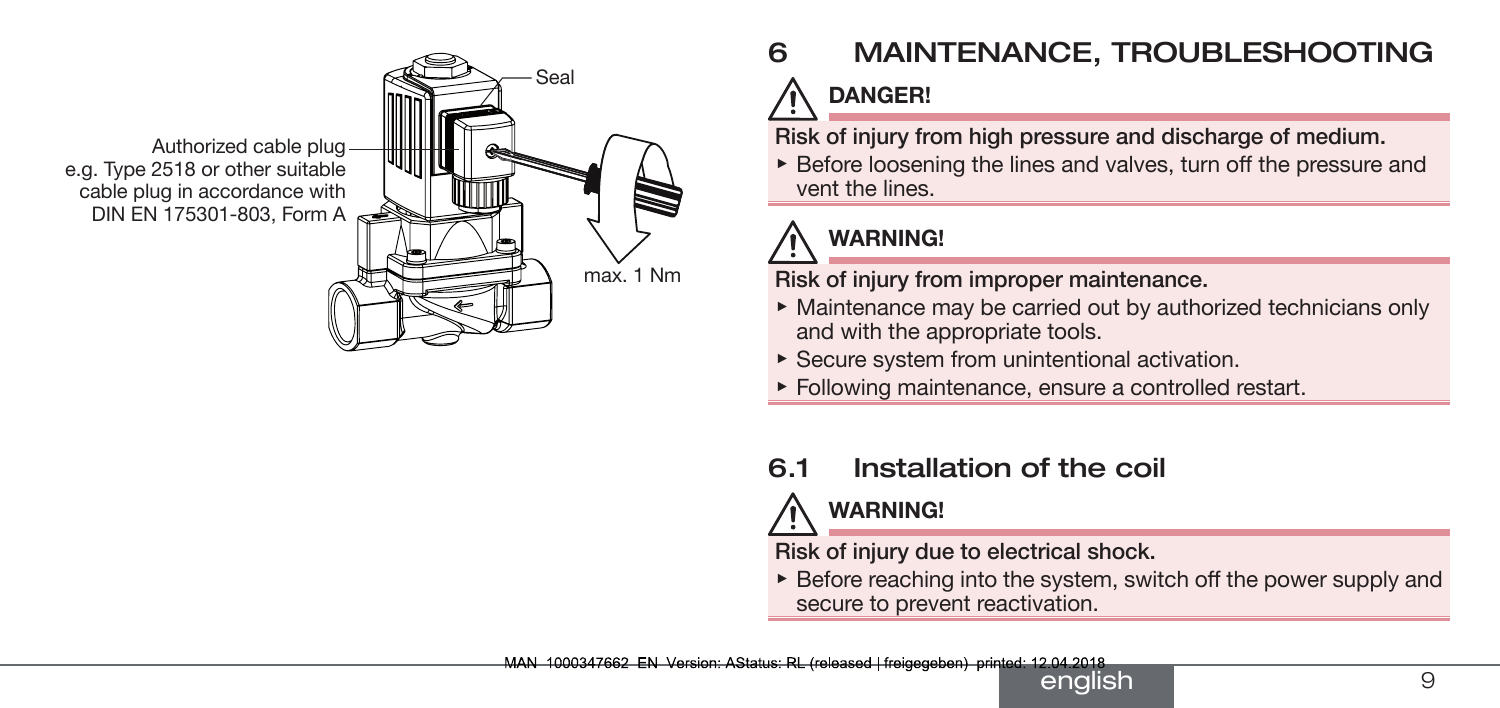<span id="page-8-0"></span>

# 6 MAINTENANCE, TROUBLESHOOTING DANGER!

Risk of injury from high pressure and discharge of medium.

▶ Before loosening the lines and valves, turn off the pressure and vent the lines.

# WARNING!

Risk of injury from improper maintenance.

- ▶ Maintenance may be carried out by authorized technicians only and with the appropriate tools.
- $\triangleright$  Secure system from unintentional activation.
- ▶ Following maintenance, ensure a controlled restart.

## 6.1 Installation of the coil

# WARNING!

Risk of injury due to electrical shock.

 $\triangleright$  Before reaching into the system, switch off the power supply and secure to prevent reactivation.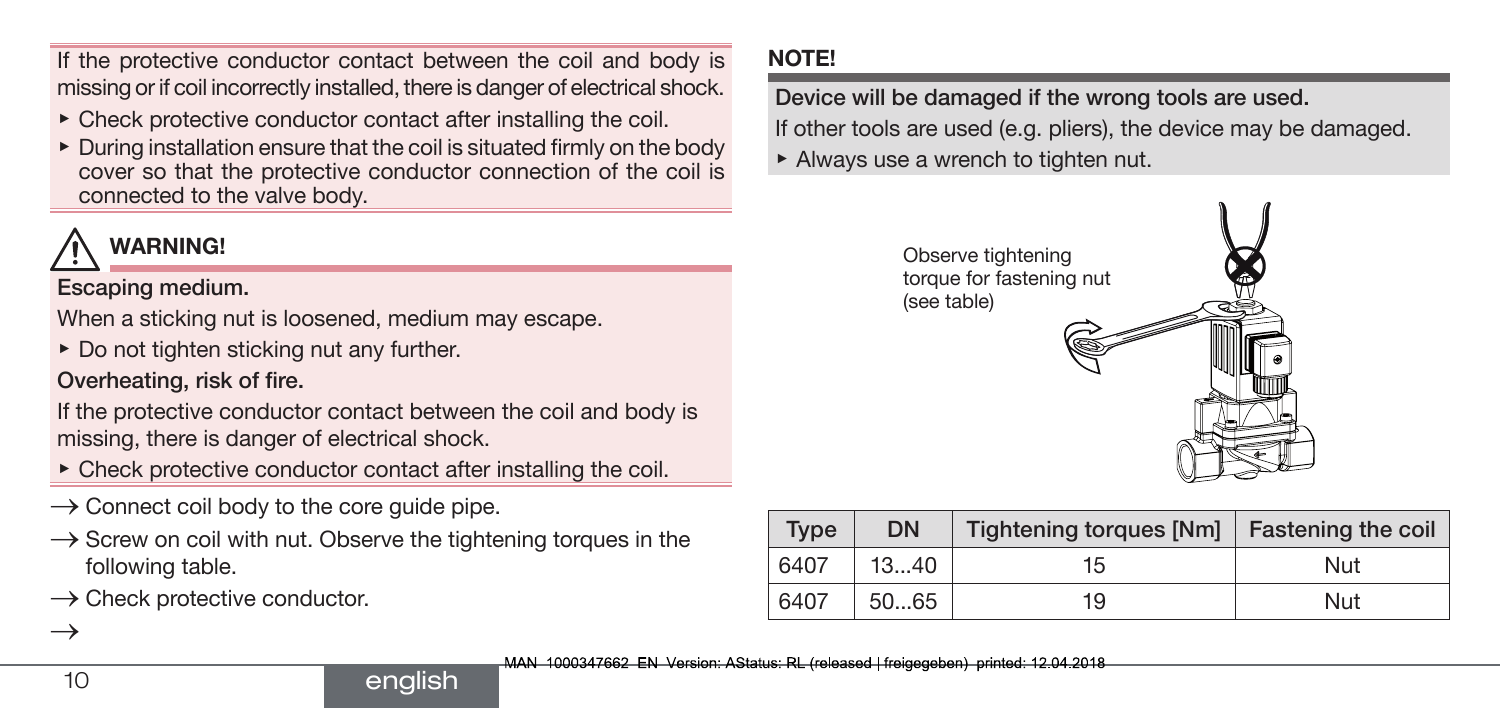If the protective conductor contact between the coil and body is missing or if coil incorrectly installed, there is danger of electrical shock.

- $\triangleright$  Check protective conductor contact after installing the coil.
- ▶ During installation ensure that the coil is situated firmly on the body cover so that the protective conductor connection of the coil is connected to the valve body.

# WARNING!

#### Escaping medium.

When a sticking nut is loosened, medium may escape.

 $\triangleright$  Do not tighten sticking nut any further.

Overheating, risk of fire.

If the protective conductor contact between the coil and body is missing, there is danger of electrical shock.

- $\triangleright$  Check protective conductor contact after installing the coil.
- $\rightarrow$  Connect coil body to the core guide pipe.
- $\rightarrow$  Screw on coil with nut. Observe the tightening torques in the following table.
- $\rightarrow$  Check protective conductor.

### NOTE!

## Device will be damaged if the wrong tools are used.

If other tools are used (e.g. pliers), the device may be damaged.

 $\blacktriangleright$  Always use a wrench to tighten nut.



| <b>Type</b> | <b>DN</b> | Tightening torques [Nm]   Fastening the coil |     |
|-------------|-----------|----------------------------------------------|-----|
| 6407        | 1340      | 15                                           | Nut |
| 6407        | 5065      | 19                                           | Nut |

 $\rightarrow$ 

#### english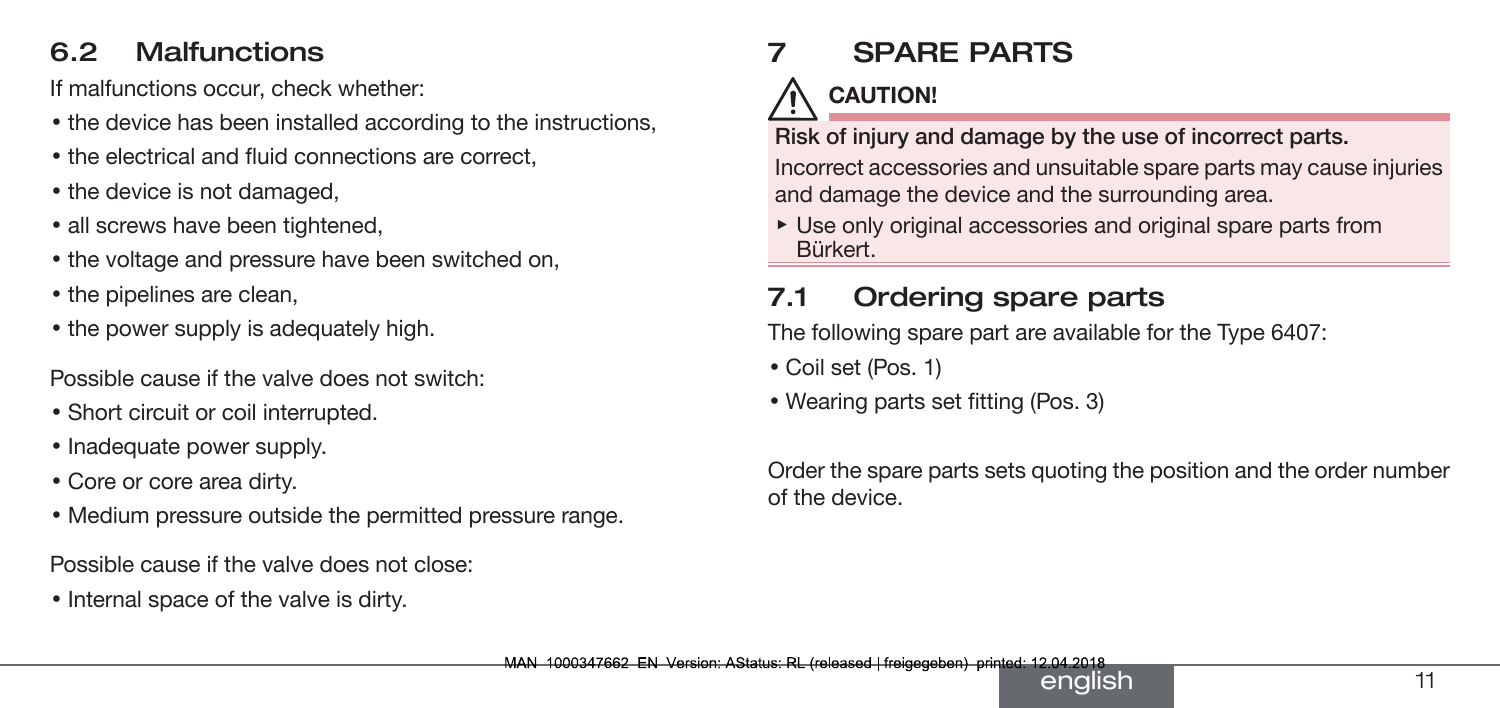#### <span id="page-10-0"></span>6.2 Malfunctions

If malfunctions occur, check whether:

- the device has been installed according to the instructions,
- the electrical and fluid connections are correct,
- the device is not damaged,
- all screws have been tightened,
- the voltage and pressure have been switched on,
- the pipelines are clean,
- the power supply is adequately high.

Possible cause if the valve does not switch:

- Short circuit or coil interrupted.
- Inadequate power supply.
- Core or core area dirty.
- Medium pressure outside the permitted pressure range.

Possible cause if the valve does not close:

• Internal space of the valve is dirty.

# 7 SPARE PARTS

# CAUTION!

Risk of injury and damage by the use of incorrect parts. Incorrect accessories and unsuitable spare parts may cause injuries and damage the device and the surrounding area.

▶ Use only original accessories and original spare parts from Bürkert.

## 7.1 Ordering spare parts

The following spare part are available for the Type 6407:

- Coil set (Pos. 1)
- Wearing parts set fitting (Pos. 3)

Order the spare parts sets quoting the position and the order number of the device.

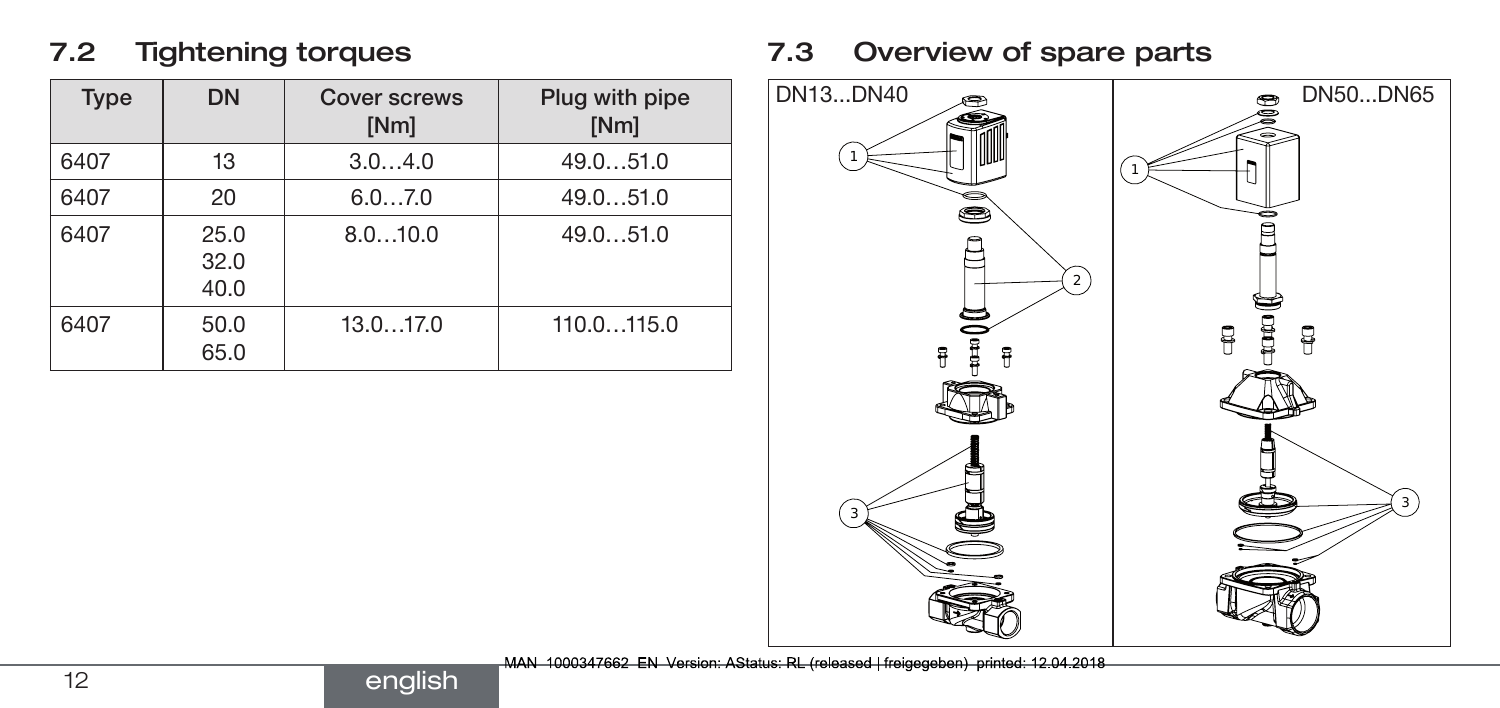#### 7.2 Tightening torques

| <b>Type</b> | <b>DN</b>            | Cover screws<br>[Nm] | Plug with pipe<br>[Nm] |
|-------------|----------------------|----------------------|------------------------|
| 6407        | 13                   | 3.04.0               | 49.051.0               |
| 6407        | 20                   | 6.07.0               | 49.051.0               |
| 6407        | 25.0<br>32.0<br>40.0 | 8.010.0              | 49.051.0               |
| 6407        | 50.0<br>65.0         | 13.017.0             | 110.0115.0             |

### 7.3 Overview of spare parts



MAN 1000347662 EN Version: AStatus: RL (released | freigegeben) printed: 12.04.2018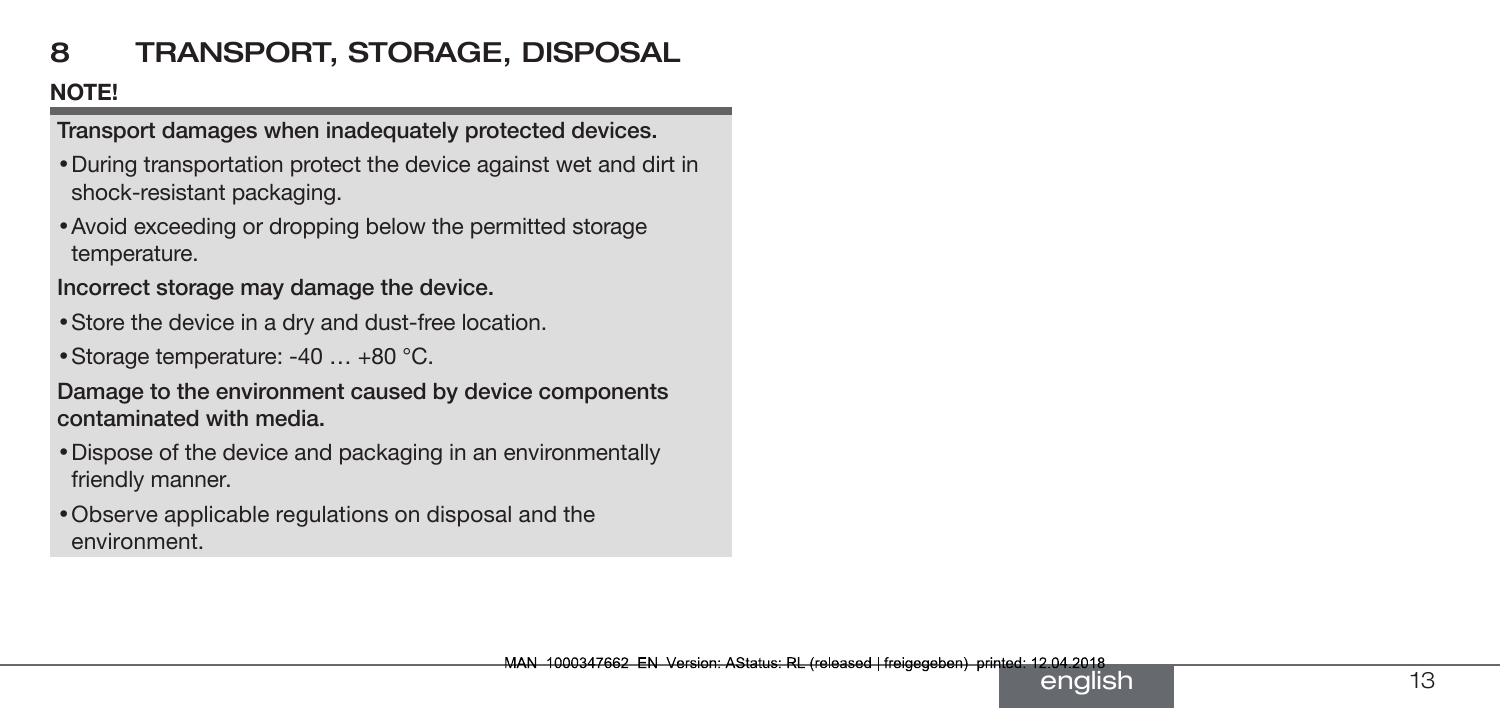## <span id="page-12-0"></span>8 TRANSPORT, STORAGE, DISPOSAL

#### NOTE!

Transport damages when inadequately protected devices.

- During transportation protect the device against wet and dirt in shock-resistant packaging.
- Avoid exceeding or dropping below the permitted storage temperature.

Incorrect storage may damage the device.

- Store the device in a dry and dust-free location.
- Storage temperature: -40 … +80 °C.

Damage to the environment caused by device components contaminated with media.

- Dispose of the device and packaging in an environmentally friendly manner.
- Observe applicable regulations on disposal and the environment.